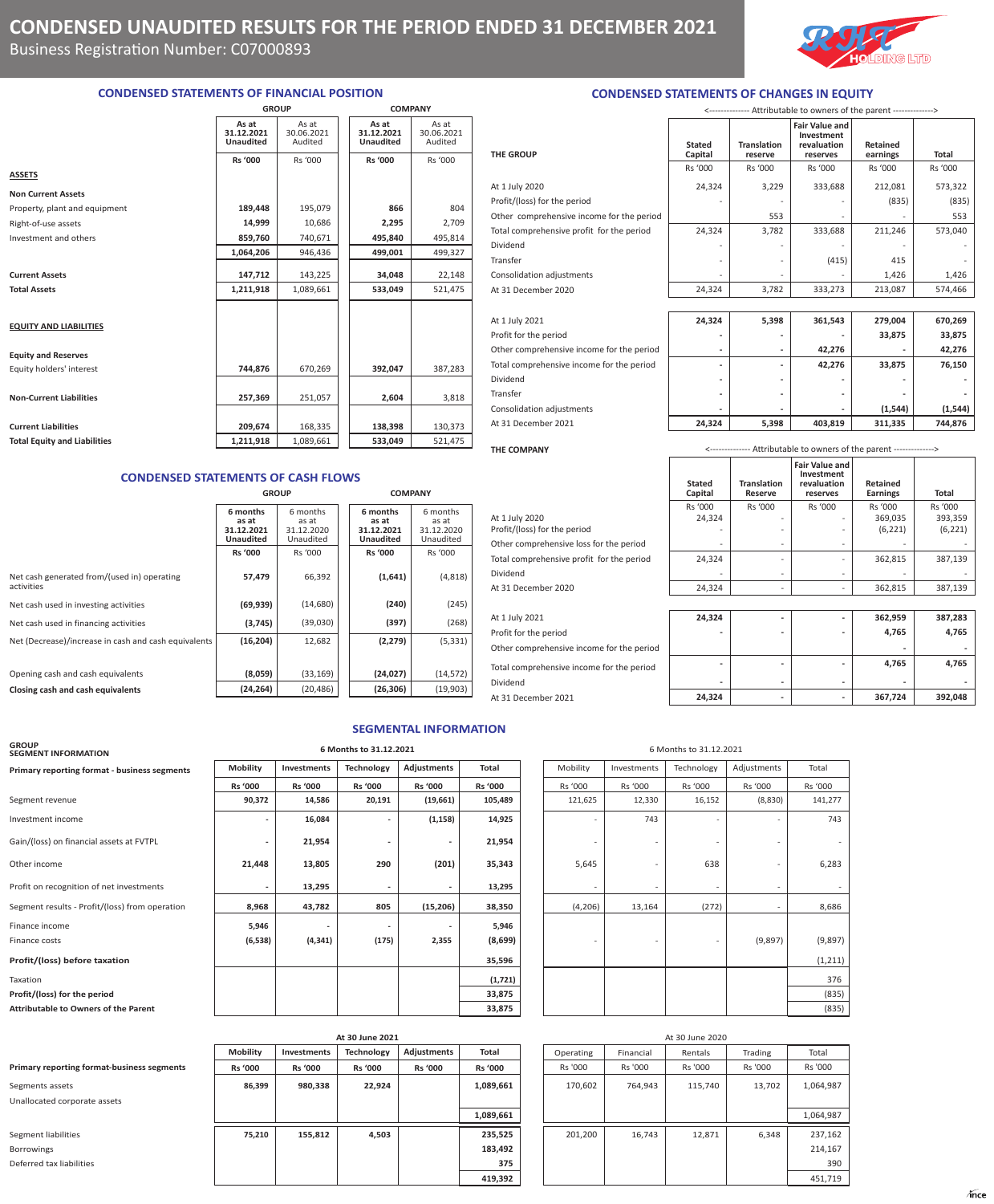**THE GROUP**



**Retained** 

**earnings Total**

## **CONDENSED STATEMENTS OF FINANCIAL POSITION**

|                                     | <b>GROUP</b>                            |                                | <b>COMPANY</b>                          |                                |  |
|-------------------------------------|-----------------------------------------|--------------------------------|-----------------------------------------|--------------------------------|--|
|                                     | As at<br>31.12.2021<br><b>Unaudited</b> | As at<br>30.06.2021<br>Audited | As at<br>31.12.2021<br><b>Unaudited</b> | As at<br>30.06.2021<br>Audited |  |
|                                     | Rs '000                                 | Rs '000                        | <b>Rs '000</b>                          | Rs '000                        |  |
| <b>ASSETS</b>                       |                                         |                                |                                         |                                |  |
| <b>Non Current Assets</b>           |                                         |                                |                                         |                                |  |
| Property, plant and equipment       | 189,448                                 | 195,079                        | 866                                     | 804                            |  |
| Right-of-use assets                 | 14,999                                  | 10,686                         | 2,295                                   | 2,709                          |  |
| Investment and others               | 859,760                                 | 740,671                        | 495,840                                 | 495,814                        |  |
|                                     | 1,064,206                               | 946,436                        | 499,001                                 | 499,327                        |  |
| <b>Current Assets</b>               | 147,712                                 | 143,225                        | 34,048                                  | 22,148                         |  |
| <b>Total Assets</b>                 | 1,211,918                               | 1,089,661                      | 533,049                                 | 521,475                        |  |
|                                     |                                         |                                |                                         |                                |  |
| <b>EQUITY AND LIABILITIES</b>       |                                         |                                |                                         |                                |  |
| <b>Equity and Reserves</b>          |                                         |                                |                                         |                                |  |
| Equity holders' interest            | 744,876                                 | 670,269                        | 392,047                                 | 387,283                        |  |
|                                     |                                         |                                |                                         |                                |  |
| <b>Non-Current Liabilities</b>      | 257,369                                 | 251,057                        | 2,604                                   | 3,818                          |  |
| <b>Current Liabilities</b>          | 209,674                                 | 168,335                        | 138,398                                 | 130,373                        |  |
|                                     |                                         |                                |                                         |                                |  |
| <b>Total Equity and Liabilities</b> | 1,211,918                               | 1,089,661                      | 533,049                                 | 521,475                        |  |

### **CONDENSED STATEMENTS OF CASH FLOWS**

|                                                           | <b>GROUP</b>                                        |                                              | <b>COMPANY</b>                                      |                                              |  |  |
|-----------------------------------------------------------|-----------------------------------------------------|----------------------------------------------|-----------------------------------------------------|----------------------------------------------|--|--|
|                                                           | 6 months<br>as at<br>31.12.2021<br><b>Unaudited</b> | 6 months<br>as at<br>31.12.2020<br>Unaudited | 6 months<br>as at<br>31.12.2021<br><b>Unaudited</b> | 6 months<br>as at<br>31.12.2020<br>Unaudited |  |  |
|                                                           | <b>Rs '000</b>                                      | Rs '000                                      | <b>Rs '000</b>                                      | Rs '000                                      |  |  |
| Net cash generated from/(used in) operating<br>activities | 57,479                                              | 66,392                                       | (1,641)                                             | (4,818)                                      |  |  |
| Net cash used in investing activities                     | (69, 939)                                           | (14,680)                                     | (240)                                               | (245)                                        |  |  |
| Net cash used in financing activities                     | (3,745)                                             | (39,030)                                     | (397)                                               | (268)                                        |  |  |
| Net (Decrease)/increase in cash and cash equivalents      | (16, 204)                                           | 12,682                                       | (2, 279)                                            | (5, 331)                                     |  |  |
|                                                           |                                                     |                                              |                                                     |                                              |  |  |
| Opening cash and cash equivalents                         | (8,059)                                             | (33, 169)                                    | (24, 027)                                           | (14, 572)                                    |  |  |
| Closing cash and cash equivalents                         | (24, 264)                                           | (20, 486)                                    | (26, 306)                                           | (19,903)                                     |  |  |

| At 31 December 2020                            | 24,324                   | 3,782                         | 333,273                                                              | 213,087                     | 574,466             |
|------------------------------------------------|--------------------------|-------------------------------|----------------------------------------------------------------------|-----------------------------|---------------------|
|                                                |                          |                               |                                                                      |                             |                     |
| At 1 July 2021                                 | 24,324                   | 5,398                         | 361,543                                                              | 279,004                     | 670,269             |
| Profit for the period                          |                          |                               |                                                                      | 33,875                      | 33,875              |
| Other comprehensive income for the period      |                          | $\overline{\phantom{a}}$      | 42,276                                                               |                             | 42,276              |
| Total comprehensive income for the period      |                          | -                             | 42,276                                                               | 33,875                      | 76,150              |
| Dividend                                       |                          | ٠                             |                                                                      |                             |                     |
| Transfer                                       |                          | $\qquad \qquad \blacksquare$  |                                                                      |                             |                     |
| Consolidation adjustments                      |                          | ٠                             |                                                                      | (1, 544)                    | (1, 544)            |
| At 31 December 2021                            | 24,324                   | 5,398                         | 403,819                                                              | 311,335                     | 744,876             |
| THE COMPANY                                    |                          |                               | <-------------- Attributable to owners of the parent --------------> |                             |                     |
|                                                | <b>Stated</b><br>Capital | <b>Translation</b><br>Reserve | <b>Fair Value and</b><br>Investment<br>revaluation<br>reserves       | Retained<br><b>Earnings</b> | <b>Total</b>        |
|                                                | Rs '000                  | Rs '000                       | Rs '000                                                              | Rs '000                     | Rs '000             |
| At 1 July 2020<br>Profit/(loss) for the period | 24,324                   |                               |                                                                      | 369,035<br>(6, 221)         | 393,359<br>(6, 221) |
| Other comprehensive loss for the period        |                          | $\overline{\phantom{a}}$      |                                                                      |                             |                     |
| Total comprehensive profit for the period      | 24,324                   | $\qquad \qquad -$             |                                                                      | 362,815                     | 387,139             |
| Dividend                                       |                          |                               |                                                                      |                             |                     |
|                                                |                          | $\overline{\phantom{a}}$      |                                                                      |                             |                     |
| At 31 December 2020                            | 24,324                   | $\overline{\phantom{a}}$      |                                                                      | 362,815                     | 387,139             |

**CONDENSED STATEMENTS OF CHANGES IN EQUITY**

At 1 July 2020 2573,322 24,324 3,229 333,688 212,081 573,322 Profit/(loss) for the period  $\begin{vmatrix} 835 \end{vmatrix}$  (835) Other comprehensive income for the period **1990 - 1991** - 553 - 553 - 553 Total comprehensive profit for the period 24,324 3,782 333,688 211,246 573,040 Dividend - - - - - Transfer - - (415) 415 - Consolidation adjustments  $\begin{vmatrix} 1 & 1 & 1 & 1 \\ 0 & 1 & 1 & 1 \end{vmatrix}$   $\begin{vmatrix} 1 & 1 & 1 & 1 \\ 0 & 1 & 1 & 1 \end{vmatrix}$   $\begin{vmatrix} 1 & 1 & 1 & 1 \\ 0 & 1 & 1 & 1 \end{vmatrix}$   $\begin{vmatrix} 1 & 1 & 1 & 1 \\ 1 & 1 & 1 & 1 \end{vmatrix}$   $\begin{vmatrix} 1 & 1 & 1 & 1 \\ 1 & 1 & 1 & 1 \end{vmatrix}$   $\begin{vm$ 

**Translation reserve**

**Stated Capital**

<-------------- Attributable to owners of the parent -------------->

**Fair Value and Investment revaluation reserves**

Rs '000 Rs '000 Rs '000 Rs '000 Rs '000

| At 1 July 2021                            | 24,324                   | -                        |                          | 362,959 | 387,283 |
|-------------------------------------------|--------------------------|--------------------------|--------------------------|---------|---------|
| Profit for the period                     | $\overline{\phantom{a}}$ | $\overline{\phantom{0}}$ | $\overline{\phantom{0}}$ | 4,765   | 4,765   |
| Other comprehensive income for the period |                          |                          |                          | -       |         |
| Total comprehensive income for the period | $\overline{\phantom{a}}$ | -                        |                          | 4,765   | 4,765   |
| Dividend                                  | $\overline{\phantom{a}}$ | -                        | $\overline{\phantom{a}}$ | -       |         |
| At 31 December 2021                       | 24,324                   | -                        | $\overline{\phantom{a}}$ | 367.724 | 392.048 |

|                                           | Capital                  | Reserve | reserves | <b>Earnings</b> | <b>Total</b> |
|-------------------------------------------|--------------------------|---------|----------|-----------------|--------------|
|                                           | Rs '000                  | Rs '000 | Rs '000  | Rs '000         | Rs '000      |
| At 1 July 2020                            | 24,324                   |         |          | 369,035         | 393.359      |
| Profit/(loss) for the period              |                          |         |          | (6, 221)        | (6, 221)     |
| Other comprehensive loss for the period   | $\overline{\phantom{0}}$ |         | ۰        |                 |              |
| Total comprehensive profit for the period | 24,324                   |         |          | 362,815         | 387,139      |
| Dividend                                  |                          |         |          |                 |              |
| At 31 December 2020                       | 24,324                   |         |          | 362,815         | 387,139      |
|                                           |                          |         |          |                 |              |
| At 1 July 2021                            | 24,324                   |         |          | 362,959         | 387,283      |
| Profit for the period                     |                          |         |          | 4,765           | 4,765        |
| Other comprehensive income for the period |                          |         |          |                 |              |
| Total comprehensive income for the period |                          |         |          | 4,765           | 4,765        |

## **SEGMENTAL INFORMATION**

## **GROUP SEGMENT INFORMATION 6 Months to 31.12.2021** 6 Months to 31.12.2021 **Primary reporting format - business segments Mobility Investments Technology Adjustments Total Rs '000 Rs '000 Rs '000 Rs '000 Rs '000** Rs '000 Rs '000 Rs '000 Rs '000 Rs '000 Segment revenue **90,372 14,586 20,191 (19,661) 105,489** 121,625 12,330 16,152 (8,830) 141,277 Investment income 1**6,084** | | <mark>(1,158) | 14,925 |</mark> | 743 | | 743 Gain/(loss) on financial assets at FVTPL **- 21,954** - 21,954 - - 21,954 Other income 21,448 | 13,805 | 290 | (201) | 35,343 | 5,645 | - 638 | - 6,283 Profit on recognition of net investments<br> **13,295** -  $\begin{vmatrix} 13,295 \end{vmatrix}$  -  $\begin{vmatrix} 13,295 \end{vmatrix}$  -  $\begin{vmatrix} 13,295 \end{vmatrix}$ Segment results - Profit/(loss) from operation **8,968 43,782** 805 (15,206) 38,350 Finance income **5,946 5,946 1 5,946 1 1 5,946 1 1 1 1 1 5,946** Finance costs **(6,538) (4,341) (175) 2,355 (8,699)** - - - (9,897) (9,897) **Profit/(loss) before taxation 35,596** (1,211) Taxation **(1,721)** 376 **Profit/(loss) for the period 33,875 Attributable to Owners of the Parent 183,875**

|                                            | At 30 June 2021 |                |                |                |                | At 30 June 2020 |           |         |         |           |
|--------------------------------------------|-----------------|----------------|----------------|----------------|----------------|-----------------|-----------|---------|---------|-----------|
|                                            | <b>Mobility</b> | Investments    | Technology     | Adjustments    | Total          | Operating       | Financial | Rentals | Trading | Total     |
| Primary reporting format-business segments | <b>Rs</b> '000  | <b>Rs '000</b> | <b>Rs</b> '000 | <b>Rs '000</b> | <b>Rs</b> '000 | Rs '000         | Rs '000   | Rs '000 | Rs '000 | Rs '000   |
| Segments assets                            | 86,399          | 980,338        | 22,924         |                | 1,089,661      | 170,602         | 764,943   | 115,740 | 13,702  | 1,064,987 |
| Unallocated corporate assets               |                 |                |                |                |                |                 |           |         |         |           |
|                                            |                 |                |                |                | 1,089,661      |                 |           |         |         | 1,064,987 |
| Segment liabilities                        | 75,210          | 155,812        | 4,503          |                | 235,525        | 201,200         | 16,743    | 12,871  | 6,348   | 237,162   |
| <b>Borrowings</b>                          |                 |                |                |                | 183,492        |                 |           |         |         | 214,167   |
| Deferred tax liabilities                   |                 |                |                |                | 375            |                 |           |         |         | 390       |
|                                            |                 |                |                |                | 419,392        |                 |           |         |         | 451,719   |

| Mobility | Investments | Technology | Adjustments | Total    |
|----------|-------------|------------|-------------|----------|
| Rs '000  | Rs '000     | Rs '000    | Rs '000     | Rs '000  |
| 121,625  | 12,330      | 16,152     | (8,830)     | 141,277  |
|          | 743         |            |             | 743      |
|          |             |            |             |          |
| 5,645    |             | 638        |             | 6,283    |
|          |             |            | -           |          |
| (4, 206) | 13,164      | (272)      | -           | 8,686    |
|          |             |            |             |          |
|          |             |            | (9,897)     | (9, 897) |
|          |             |            |             | (1, 211) |
|          |             |            |             | 376      |
|          |             |            |             | (835)    |
|          |             |            |             | (835)    |

| At 30 June 2021   |                |                |           |           | At 30 June 2020 |         |           |
|-------------------|----------------|----------------|-----------|-----------|-----------------|---------|-----------|
| <b>Technology</b> | Adjustments    | <b>Total</b>   | Operating | Financial | Rentals         | Trading | Total     |
| <b>Rs '000</b>    | <b>Rs '000</b> | <b>Rs '000</b> | Rs '000   | Rs '000   | Rs '000         | Rs '000 | Rs '000   |
| 22,924            |                | 1,089,661      | 170,602   | 764.943   | 115,740         | 13.702  | 1,064,987 |
|                   |                | 1,089,661      |           |           |                 |         | 1,064,987 |
|                   |                |                |           |           |                 |         |           |
| 4,503             |                | 235,525        | 201,200   | 16,743    | 12,871          | 6,348   | 237,162   |
|                   |                | 183,492        |           |           |                 |         | 214,167   |
|                   |                | 375            |           |           |                 |         | 390       |
|                   |                | 419,392        |           |           |                 |         | 451,719   |